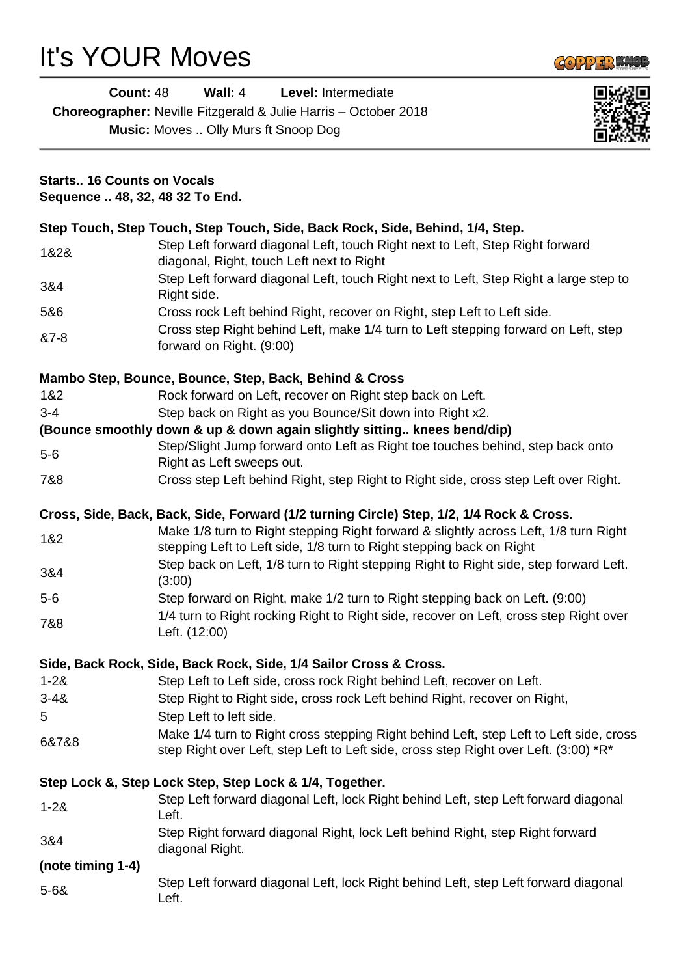# It's YOUR Moves



|          | <b>Count: 48</b>                                                                                                           | Wall: $4$<br>Level: Intermediate                                              |  |  |
|----------|----------------------------------------------------------------------------------------------------------------------------|-------------------------------------------------------------------------------|--|--|
|          |                                                                                                                            | <b>Choreographer:</b> Neville Fitzgerald & Julie Harris – October 2018        |  |  |
|          | <b>Music:</b> Moves  Olly Murs ft Snoop Dog                                                                                |                                                                               |  |  |
|          | <b>Starts 16 Counts on Vocals</b><br>Sequence  48, 32, 48 32 To End.                                                       |                                                                               |  |  |
|          |                                                                                                                            | Step Touch, Step Touch, Step Touch, Side, Back Rock, Side, Behind, 1/4, Step. |  |  |
| 1&2&     | Step Left forward diagonal Left, touch Right next to Left, Step Right forward<br>diagonal, Right, touch Left next to Right |                                                                               |  |  |
| 3&4      | Step Left forward diagonal Left, touch Right next to Left, Step Right a large step to<br>Right side.                       |                                                                               |  |  |
| 5&6      |                                                                                                                            | Cross rock Left behind Right, recover on Right, step Left to Left side.       |  |  |
| $87 - 8$ | Cross step Right behind Left, make 1/4 turn to Left stepping forward on Left, step<br>forward on Right. (9:00)             |                                                                               |  |  |

## **Mambo Step, Bounce, Bounce, Step, Back, Behind & Cross**

- 1&2 Rock forward on Left, recover on Right step back on Left.
- 3-4 Step back on Right as you Bounce/Sit down into Right x2.

#### **(Bounce smoothly down & up & down again slightly sitting.. knees bend/dip)**

- 5-6 Step/Slight Jump forward onto Left as Right toe touches behind, step back onto Right as Left sweeps out.
- 7&8 Cross step Left behind Right, step Right to Right side, cross step Left over Right.

#### **Cross, Side, Back, Back, Side, Forward (1/2 turning Circle) Step, 1/2, 1/4 Rock & Cross.**

- 1&2 Make 1/8 turn to Right stepping Right forward & slightly across Left, 1/8 turn Right stepping Left to Left side, 1/8 turn to Right stepping back on Right
- 3&4 Step back on Left, 1/8 turn to Right stepping Right to Right side, step forward Left. (3:00)
- 5-6 Step forward on Right, make 1/2 turn to Right stepping back on Left. (9:00)
- 7&8 1/4 turn to Right rocking Right to Right side, recover on Left, cross step Right over Left. (12:00)

#### **Side, Back Rock, Side, Back Rock, Side, 1/4 Sailor Cross & Cross.**

1-2& Step Left to Left side, cross rock Right behind Left, recover on Left. 3-4& Step Right to Right side, cross rock Left behind Right, recover on Right, 5 Step Left to left side. 6&7&8 Make 1/4 turn to Right cross stepping Right behind Left, step Left to Left side, cross step Right over Left, step Left to Left side, cross step Right over Left. (3:00) \*R\*

## **Step Lock &, Step Lock Step, Step Lock & 1/4, Together.**

- 1-2& Step Left forward diagonal Left, lock Right behind Left, step Left forward diagonal Left. 3&4 Step Right forward diagonal Right, lock Left behind Right, step Right forward diagonal Right. **(note timing 1-4)**
- 5-6& Step Left forward diagonal Left, lock Right behind Left, step Left forward diagonal Left.